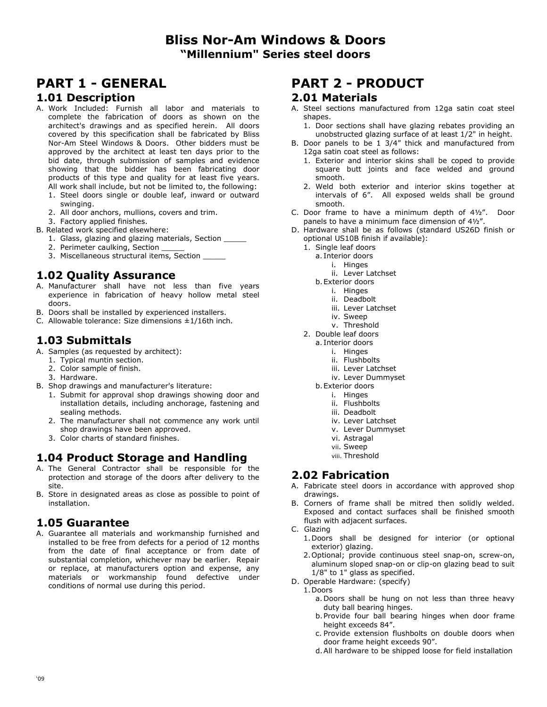## **PART 1 - GENERAL**

#### **1.01 Description**

- A. Work Included: Furnish all labor and materials to complete the fabrication of doors as shown on the architect's drawings and as specified herein. All doors covered by this specification shall be fabricated by Bliss Nor-Am Steel Windows & Doors. Other bidders must be approved by the architect at least ten days prior to the bid date, through submission of samples and evidence showing that the bidder has been fabricating door products of this type and quality for at least five years. All work shall include, but not be limited to, the following:
	- 1. Steel doors single or double leaf, inward or outward swinging.
	- 2. All door anchors, mullions, covers and trim.
- 3. Factory applied finishes.
- B. Related work specified elsewhere:
	- 1. Glass, glazing and glazing materials, Section \_\_\_\_\_
	- 2. Perimeter caulking, Section
	- 3. Miscellaneous structural items, Section \_\_\_\_\_

## **1.02 Quality Assurance**

- A. Manufacturer shall have not less than five years experience in fabrication of heavy hollow metal steel doors.
- B. Doors shall be installed by experienced installers.
- C. Allowable tolerance: Size dimensions  $\pm 1/16$ th inch.

#### **1.03 Submittals**

- A. Samples (as requested by architect):
	- 1. Typical muntin section.
	- 2. Color sample of finish.
	- 3. Hardware.
- B. Shop drawings and manufacturer's literature:
	- 1. Submit for approval shop drawings showing door and installation details, including anchorage, fastening and sealing methods.
	- 2. The manufacturer shall not commence any work until shop drawings have been approved.
	- 3. Color charts of standard finishes.

#### **1.04 Product Storage and Handling**

- A. The General Contractor shall be responsible for the protection and storage of the doors after delivery to the site.
- B. Store in designated areas as close as possible to point of installation.

### **1.05 Guarantee**

A. Guarantee all materials and workmanship furnished and installed to be free from defects for a period of 12 months from the date of final acceptance or from date of substantial completion, whichever may be earlier. Repair or replace, at manufacturers option and expense, any materials or workmanship found defective under conditions of normal use during this period.

## **PART 2 - PRODUCT**

#### **2.01 Materials**

- A. Steel sections manufactured from 12ga satin coat steel shapes.
	- 1. Door sections shall have glazing rebates providing an unobstructed glazing surface of at least 1/2" in height.
- B. Door panels to be 1 3/4" thick and manufactured from 12ga satin coat steel as follows:
	- 1. Exterior and interior skins shall be coped to provide square butt joints and face welded and ground smooth.
	- 2. Weld both exterior and interior skins together at intervals of 6". All exposed welds shall be ground smooth.
- C. Door frame to have a minimum depth of 4½". Door panels to have a minimum face dimension of 4½".
- D. Hardware shall be as follows (standard US26D finish or optional US10B finish if available):
	- 1. Single leaf doors
		- a. Interior doors
			- i. Hinges
			- ii. Lever Latchset
		- b. Exterior doors
			- i. Hinges
			- ii. Deadbolt
			- iii. Lever Latchset
			- iv. Sweep
			- v. Threshold
	- 2. Double leaf doors
		- a. Interior doors
			- i. Hinges
			- ii. Flushbolts
			- iii. Lever Latchset iv. Lever Dummyset
			-
		- b. Exterior doors i. Hinges
			- ii. Flushbolts
			- iii. Deadbolt
			-
			- iv. Lever Latchset
			- v. Lever Dummyset
			- vi. Astragal
			- vii. Sweep
			- viii. Threshold

#### **2.02 Fabrication**

- A. Fabricate steel doors in accordance with approved shop drawings.
- B. Corners of frame shall be mitred then solidly welded. Exposed and contact surfaces shall be finished smooth flush with adjacent surfaces.
- C. Glazing
	- 1. Doors shall be designed for interior (or optional exterior) glazing.
	- 2. Optional; provide continuous steel snap-on, screw-on, aluminum sloped snap-on or clip-on glazing bead to suit 1/8" to 1" glass as specified.
- D. Operable Hardware: (specify)
	- 1. Doors
		- a. Doors shall be hung on not less than three heavy duty ball bearing hinges.
		- b. Provide four ball bearing hinges when door frame height exceeds 84".
		- c. Provide extension flushbolts on double doors when door frame height exceeds 90".
		- d. All hardware to be shipped loose for field installation